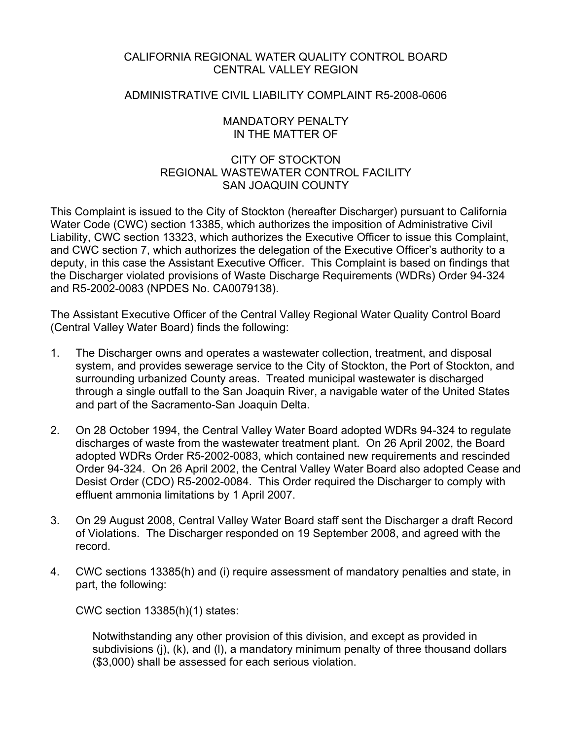# CALIFORNIA REGIONAL WATER QUALITY CONTROL BOARD CENTRAL VALLEY REGION

# ADMINISTRATIVE CIVIL LIABILITY COMPLAINT R5-2008-0606

## MANDATORY PENALTY IN THE MATTER OF

# CITY OF STOCKTON REGIONAL WASTEWATER CONTROL FACILITY SAN JOAQUIN COUNTY

This Complaint is issued to the City of Stockton (hereafter Discharger) pursuant to California Water Code (CWC) section 13385, which authorizes the imposition of Administrative Civil Liability, CWC section 13323, which authorizes the Executive Officer to issue this Complaint, and CWC section 7, which authorizes the delegation of the Executive Officer's authority to a deputy, in this case the Assistant Executive Officer. This Complaint is based on findings that the Discharger violated provisions of Waste Discharge Requirements (WDRs) Order 94-324 and R5-2002-0083 (NPDES No. CA0079138).

The Assistant Executive Officer of the Central Valley Regional Water Quality Control Board (Central Valley Water Board) finds the following:

- 1. The Discharger owns and operates a wastewater collection, treatment, and disposal system, and provides sewerage service to the City of Stockton, the Port of Stockton, and surrounding urbanized County areas. Treated municipal wastewater is discharged through a single outfall to the San Joaquin River, a navigable water of the United States and part of the Sacramento-San Joaquin Delta.
- 2. On 28 October 1994, the Central Valley Water Board adopted WDRs 94-324 to regulate discharges of waste from the wastewater treatment plant. On 26 April 2002, the Board adopted WDRs Order R5-2002-0083, which contained new requirements and rescinded Order 94-324. On 26 April 2002, the Central Valley Water Board also adopted Cease and Desist Order (CDO) R5-2002-0084. This Order required the Discharger to comply with effluent ammonia limitations by 1 April 2007.
- 3. On 29 August 2008, Central Valley Water Board staff sent the Discharger a draft Record of Violations. The Discharger responded on 19 September 2008, and agreed with the record.
- 4. CWC sections 13385(h) and (i) require assessment of mandatory penalties and state, in part, the following:

CWC section 13385(h)(1) states:

Notwithstanding any other provision of this division, and except as provided in subdivisions (j), (k), and (l), a mandatory minimum penalty of three thousand dollars (\$3,000) shall be assessed for each serious violation.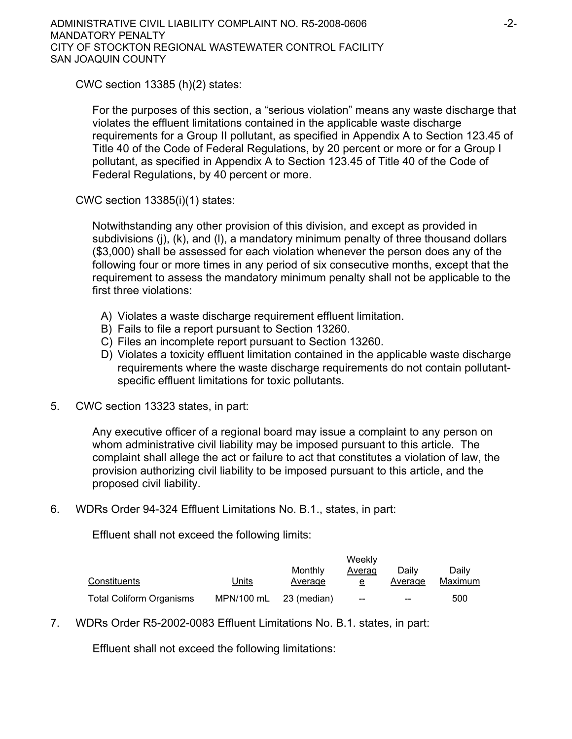CWC section 13385 (h)(2) states:

For the purposes of this section, a "serious violation" means any waste discharge that violates the effluent limitations contained in the applicable waste discharge requirements for a Group II pollutant, as specified in Appendix A to Section 123.45 of Title 40 of the Code of Federal Regulations, by 20 percent or more or for a Group I pollutant, as specified in Appendix A to Section 123.45 of Title 40 of the Code of Federal Regulations, by 40 percent or more.

CWC section 13385(i)(1) states:

Notwithstanding any other provision of this division, and except as provided in subdivisions (j), (k), and (l), a mandatory minimum penalty of three thousand dollars (\$3,000) shall be assessed for each violation whenever the person does any of the following four or more times in any period of six consecutive months, except that the requirement to assess the mandatory minimum penalty shall not be applicable to the first three violations:

- A) Violates a waste discharge requirement effluent limitation.
- B) Fails to file a report pursuant to Section 13260.
- C) Files an incomplete report pursuant to Section 13260.
- D) Violates a toxicity effluent limitation contained in the applicable waste discharge requirements where the waste discharge requirements do not contain pollutantspecific effluent limitations for toxic pollutants.
- 5. CWC section 13323 states, in part:

Any executive officer of a regional board may issue a complaint to any person on whom administrative civil liability may be imposed pursuant to this article. The complaint shall allege the act or failure to act that constitutes a violation of law, the provision authorizing civil liability to be imposed pursuant to this article, and the proposed civil liability.

6. WDRs Order 94-324 Effluent Limitations No. B.1., states, in part:

Effluent shall not exceed the following limits:

|                                 |            | Weekly      |        |         |         |
|---------------------------------|------------|-------------|--------|---------|---------|
|                                 |            | Monthly     | Averag | Daily   | Dailv   |
| Constituents                    | Units      | Average     | e      | Average | Maximum |
| <b>Total Coliform Organisms</b> | MPN/100 mL | 23 (median) | --     | $- -$   | 500     |

7. WDRs Order R5-2002-0083 Effluent Limitations No. B.1. states, in part:

Effluent shall not exceed the following limitations: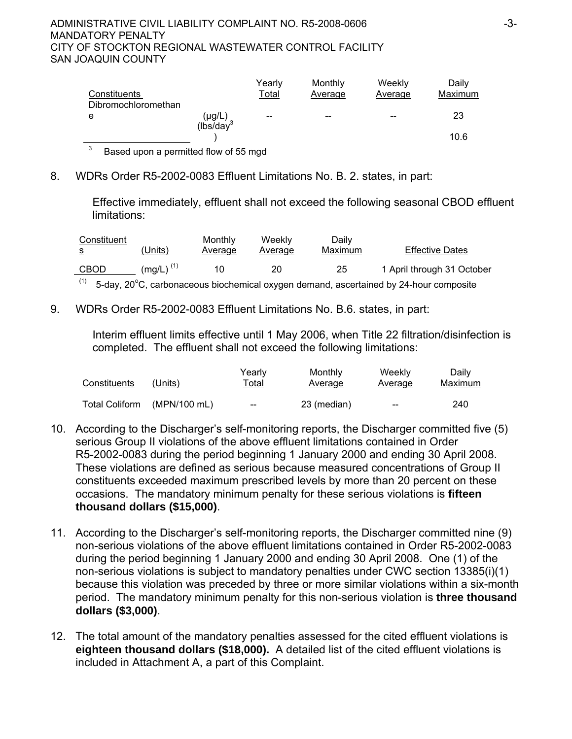### ADMINISTRATIVE CIVIL LIABILITY COMPLAINT NO. R5-2008-0606 -3- MANDATORY PENALTY CITY OF STOCKTON REGIONAL WASTEWATER CONTROL FACILITY SAN JOAQUIN COUNTY

| Constituents        |                       | Yearly<br>Total | Monthly<br>Average | Weekly<br>Average | Daily<br>Maximum |
|---------------------|-----------------------|-----------------|--------------------|-------------------|------------------|
| Dibromochloromethan |                       |                 |                    |                   |                  |
| e                   | $(\mu g/L)$           | $-$             | --                 | --                | 23               |
|                     | (lbs/day <sup>3</sup> |                 |                    |                   |                  |
|                     |                       |                 |                    |                   | 10.6             |

3 Based upon a permitted flow of 55 mgd

# 8. WDRs Order R5-2002-0083 Effluent Limitations No. B. 2. states, in part:

Effective immediately, effluent shall not exceed the following seasonal CBOD effluent limitations:

| Constituent<br>s | (Units)        | Monthly<br>Average | Weekly<br>Average | Daily<br>Maximum | <b>Effective Dates</b>                                                                |
|------------------|----------------|--------------------|-------------------|------------------|---------------------------------------------------------------------------------------|
| <b>CBOD</b>      | $(mq/L)^{(1)}$ | 10                 | 20                | 25               | 1 April through 31 October                                                            |
| (1)              |                |                    |                   |                  | 5-day, 20°C, carbonaceous biochemical oxygen demand, ascertained by 24-hour composite |

9. WDRs Order R5-2002-0083 Effluent Limitations No. B.6. states, in part:

Interim effluent limits effective until 1 May 2006, when Title 22 filtration/disinfection is completed. The effluent shall not exceed the following limitations:

| Constituents          | (Units)      | Yearlv<br><u>Total</u> | Monthly<br><b>Average</b> | Weekly<br><b>Average</b> | Daily<br>Maximum |
|-----------------------|--------------|------------------------|---------------------------|--------------------------|------------------|
| <b>Total Coliform</b> | (MPN/100 mL) | $- -$                  | 23 (median)               | $-$                      | 240              |

- 10. According to the Discharger's self-monitoring reports, the Discharger committed five (5) serious Group II violations of the above effluent limitations contained in Order R5-2002-0083 during the period beginning 1 January 2000 and ending 30 April 2008. These violations are defined as serious because measured concentrations of Group II constituents exceeded maximum prescribed levels by more than 20 percent on these occasions. The mandatory minimum penalty for these serious violations is **fifteen thousand dollars (\$15,000)**.
- 11. According to the Discharger's self-monitoring reports, the Discharger committed nine (9) non-serious violations of the above effluent limitations contained in Order R5-2002-0083 during the period beginning 1 January 2000 and ending 30 April 2008. One (1) of the non-serious violations is subject to mandatory penalties under CWC section 13385(i)(1) because this violation was preceded by three or more similar violations within a six-month period. The mandatory minimum penalty for this non-serious violation is **three thousand dollars (\$3,000)**.
- 12. The total amount of the mandatory penalties assessed for the cited effluent violations is **eighteen thousand dollars (\$18,000).** A detailed list of the cited effluent violations is included in Attachment A, a part of this Complaint.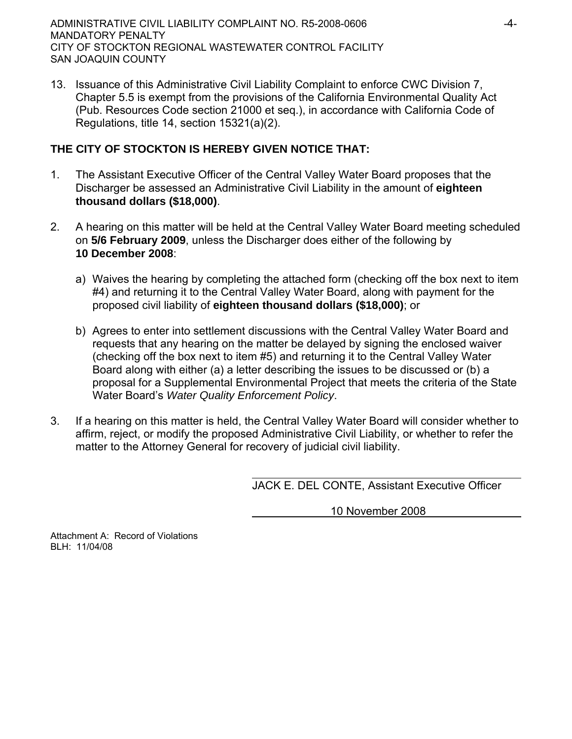ADMINISTRATIVE CIVIL LIABILITY COMPLAINT NO. R5-2008-0606 -4- MANDATORY PENALTY CITY OF STOCKTON REGIONAL WASTEWATER CONTROL FACILITY SAN JOAQUIN COUNTY

13. Issuance of this Administrative Civil Liability Complaint to enforce CWC Division 7, Chapter 5.5 is exempt from the provisions of the California Environmental Quality Act (Pub. Resources Code section 21000 et seq.), in accordance with California Code of Regulations, title 14, section 15321(a)(2).

# **THE CITY OF STOCKTON IS HEREBY GIVEN NOTICE THAT:**

- 1. The Assistant Executive Officer of the Central Valley Water Board proposes that the Discharger be assessed an Administrative Civil Liability in the amount of **eighteen thousand dollars (\$18,000)**.
- 2. A hearing on this matter will be held at the Central Valley Water Board meeting scheduled on **5/6 February 2009**, unless the Discharger does either of the following by **10 December 2008**:
	- a) Waives the hearing by completing the attached form (checking off the box next to item #4) and returning it to the Central Valley Water Board, along with payment for the proposed civil liability of **eighteen thousand dollars (\$18,000)**; or
	- b) Agrees to enter into settlement discussions with the Central Valley Water Board and requests that any hearing on the matter be delayed by signing the enclosed waiver (checking off the box next to item #5) and returning it to the Central Valley Water Board along with either (a) a letter describing the issues to be discussed or (b) a proposal for a Supplemental Environmental Project that meets the criteria of the State Water Board's *Water Quality Enforcement Policy*.
- 3. If a hearing on this matter is held, the Central Valley Water Board will consider whether to affirm, reject, or modify the proposed Administrative Civil Liability, or whether to refer the matter to the Attorney General for recovery of judicial civil liability.

JACK E. DEL CONTE, Assistant Executive Officer

10 November 2008

Attachment A: Record of Violations BLH: 11/04/08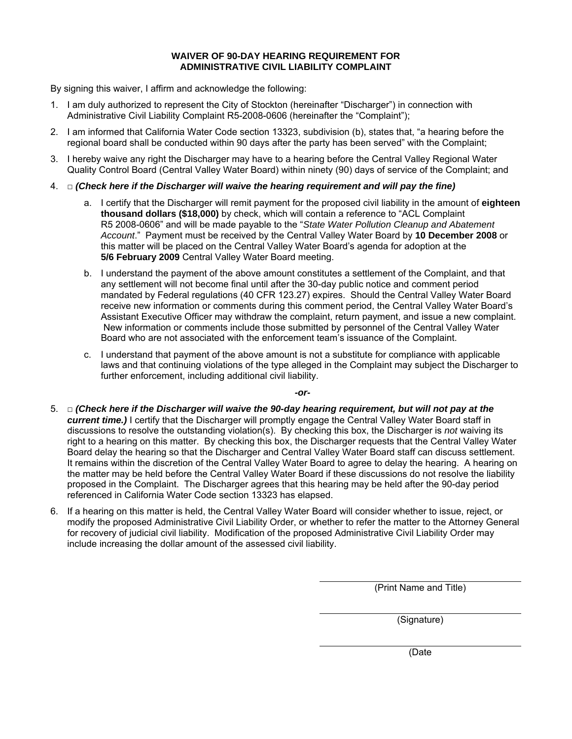### **WAIVER OF 90-DAY HEARING REQUIREMENT FOR ADMINISTRATIVE CIVIL LIABILITY COMPLAINT**

By signing this waiver, I affirm and acknowledge the following:

- 1. I am duly authorized to represent the City of Stockton (hereinafter "Discharger") in connection with Administrative Civil Liability Complaint R5-2008-0606 (hereinafter the "Complaint");
- 2. I am informed that California Water Code section 13323, subdivision (b), states that, "a hearing before the regional board shall be conducted within 90 days after the party has been served" with the Complaint;
- 3. I hereby waive any right the Discharger may have to a hearing before the Central Valley Regional Water Quality Control Board (Central Valley Water Board) within ninety (90) days of service of the Complaint; and
- 4. □ *(Check here if the Discharger will waive the hearing requirement and will pay the fine)* 
	- a. I certify that the Discharger will remit payment for the proposed civil liability in the amount of **eighteen thousand dollars (\$18,000)** by check, which will contain a reference to "ACL Complaint R5 2008-0606" and will be made payable to the "*State Water Pollution Cleanup and Abatement Account*." Payment must be received by the Central Valley Water Board by **10 December 2008** or this matter will be placed on the Central Valley Water Board's agenda for adoption at the **5/6 February 2009** Central Valley Water Board meeting.
	- b. I understand the payment of the above amount constitutes a settlement of the Complaint, and that any settlement will not become final until after the 30-day public notice and comment period mandated by Federal regulations (40 CFR 123.27) expires. Should the Central Valley Water Board receive new information or comments during this comment period, the Central Valley Water Board's Assistant Executive Officer may withdraw the complaint, return payment, and issue a new complaint. New information or comments include those submitted by personnel of the Central Valley Water Board who are not associated with the enforcement team's issuance of the Complaint.
	- c. I understand that payment of the above amount is not a substitute for compliance with applicable laws and that continuing violations of the type alleged in the Complaint may subject the Discharger to further enforcement, including additional civil liability.

*-or-*

- 5. □ *(Check here if the Discharger will waive the 90-day hearing requirement, but will not pay at the current time.*) I certify that the Discharger will promptly engage the Central Valley Water Board staff in discussions to resolve the outstanding violation(s). By checking this box, the Discharger is *not* waiving its right to a hearing on this matter. By checking this box, the Discharger requests that the Central Valley Water Board delay the hearing so that the Discharger and Central Valley Water Board staff can discuss settlement. It remains within the discretion of the Central Valley Water Board to agree to delay the hearing. A hearing on the matter may be held before the Central Valley Water Board if these discussions do not resolve the liability proposed in the Complaint. The Discharger agrees that this hearing may be held after the 90-day period referenced in California Water Code section 13323 has elapsed.
- 6. If a hearing on this matter is held, the Central Valley Water Board will consider whether to issue, reject, or modify the proposed Administrative Civil Liability Order, or whether to refer the matter to the Attorney General for recovery of judicial civil liability. Modification of the proposed Administrative Civil Liability Order may include increasing the dollar amount of the assessed civil liability.

(Print Name and Title)

(Signature)

(Date